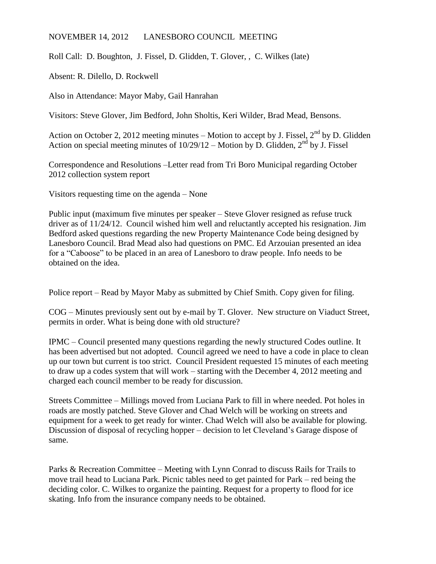## NOVEMBER 14, 2012 LANESBORO COUNCIL MEETING

Roll Call: D. Boughton, J. Fissel, D. Glidden, T. Glover, , C. Wilkes (late)

Absent: R. Dilello, D. Rockwell

Also in Attendance: Mayor Maby, Gail Hanrahan

Visitors: Steve Glover, Jim Bedford, John Sholtis, Keri Wilder, Brad Mead, Bensons.

Action on October 2, 2012 meeting minutes – Motion to accept by J. Fissel,  $2^{nd}$  by D. Glidden Action on special meeting minutes of  $10/29/12$  – Motion by D. Glidden,  $2<sup>nd</sup>$  by J. Fissel

Correspondence and Resolutions –Letter read from Tri Boro Municipal regarding October 2012 collection system report

Visitors requesting time on the agenda – None

Public input (maximum five minutes per speaker – Steve Glover resigned as refuse truck driver as of 11/24/12. Council wished him well and reluctantly accepted his resignation. Jim Bedford asked questions regarding the new Property Maintenance Code being designed by Lanesboro Council. Brad Mead also had questions on PMC. Ed Arzouian presented an idea for a "Caboose" to be placed in an area of Lanesboro to draw people. Info needs to be obtained on the idea.

Police report – Read by Mayor Maby as submitted by Chief Smith. Copy given for filing.

COG – Minutes previously sent out by e-mail by T. Glover. New structure on Viaduct Street, permits in order. What is being done with old structure?

IPMC – Council presented many questions regarding the newly structured Codes outline. It has been advertised but not adopted. Council agreed we need to have a code in place to clean up our town but current is too strict. Council President requested 15 minutes of each meeting to draw up a codes system that will work – starting with the December 4, 2012 meeting and charged each council member to be ready for discussion.

Streets Committee – Millings moved from Luciana Park to fill in where needed. Pot holes in roads are mostly patched. Steve Glover and Chad Welch will be working on streets and equipment for a week to get ready for winter. Chad Welch will also be available for plowing. Discussion of disposal of recycling hopper – decision to let Cleveland's Garage dispose of same.

Parks & Recreation Committee – Meeting with Lynn Conrad to discuss Rails for Trails to move trail head to Luciana Park. Picnic tables need to get painted for Park – red being the deciding color. C. Wilkes to organize the painting. Request for a property to flood for ice skating. Info from the insurance company needs to be obtained.